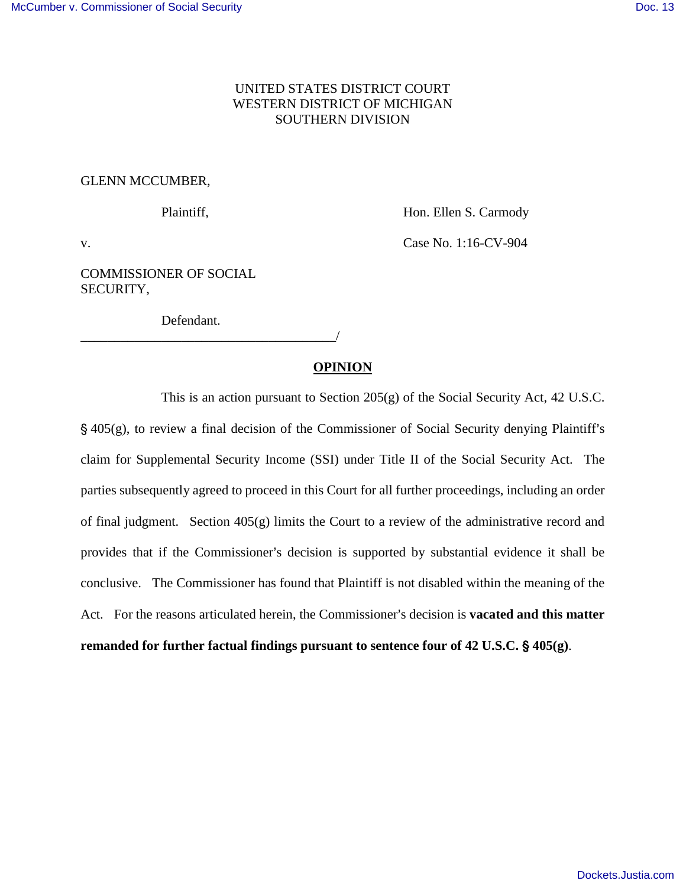# UNITED STATES DISTRICT COURT WESTERN DISTRICT OF MICHIGAN SOUTHERN DIVISION

# GLENN MCCUMBER,

Plaintiff, **Hon. Ellen S. Carmody** 

v. **Case No. 1:16-CV-904** 

COMMISSIONER OF SOCIAL SECURITY,

Defendant.

\_\_\_\_\_\_\_\_\_\_\_\_\_\_\_\_\_\_\_\_\_\_\_\_\_\_\_\_\_\_\_\_\_\_\_\_\_\_/

# **OPINION**

This is an action pursuant to Section 205(g) of the Social Security Act, 42 U.S.C.  $\S$  405(g), to review a final decision of the Commissioner of Social Security denying Plaintiff's claim for Supplemental Security Income (SSI) under Title II of the Social Security Act. The parties subsequently agreed to proceed in this Court for all further proceedings, including an order of final judgment. Section 405(g) limits the Court to a review of the administrative record and provides that if the Commissioner's decision is supported by substantial evidence it shall be conclusive. The Commissioner has found that Plaintiff is not disabled within the meaning of the Act. For the reasons articulated herein, the Commissioner's decision is **vacated and this matter remanded for further factual findings pursuant to sentence four of 42 U.S.C.** ' **405(g)**.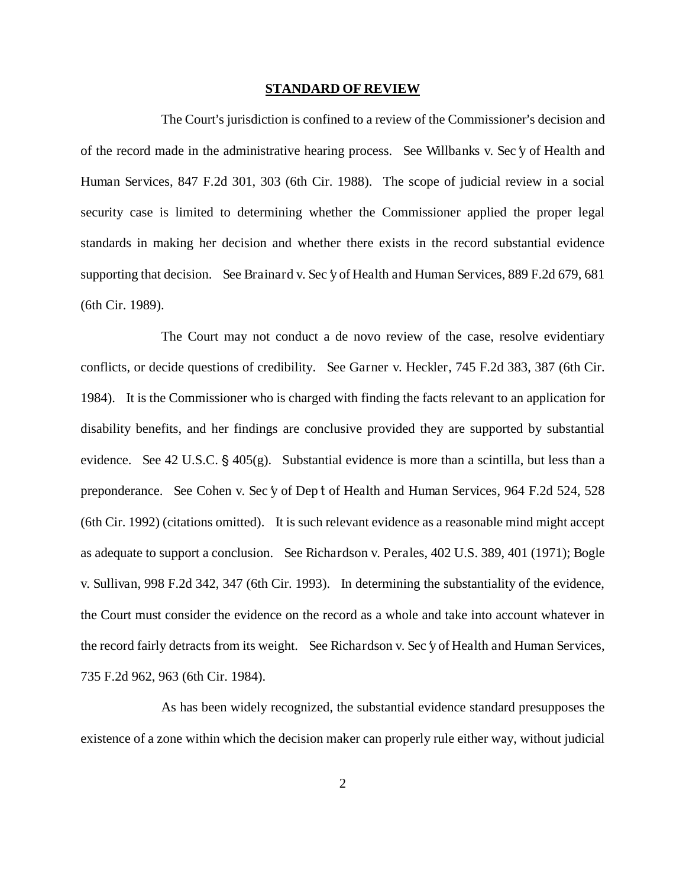#### **STANDARD OF REVIEW**

The Court's jurisdiction is confined to a review of the Commissioner's decision and of the record made in the administrative hearing process. See Willbanks v. Sec  $\gamma$  of Health and Human Services, 847 F.2d 301, 303 (6th Cir. 1988). The scope of judicial review in a social security case is limited to determining whether the Commissioner applied the proper legal standards in making her decision and whether there exists in the record substantial evidence supporting that decision. See Brainard v. Sec  $\gamma$  of Health and Human Services, 889 F.2d 679, 681 (6th Cir. 1989).

The Court may not conduct a de novo review of the case, resolve evidentiary conflicts, or decide questions of credibility. See Garner v. Heckler, 745 F.2d 383, 387 (6th Cir. 1984). It is the Commissioner who is charged with finding the facts relevant to an application for disability benefits, and her findings are conclusive provided they are supported by substantial evidence. See 42 U.S.C.  $\S$  405(g). Substantial evidence is more than a scintilla, but less than a preponderance. See Cohen v. Sec  $\gamma$  of Dept of Health and Human Services, 964 F.2d 524, 528 (6th Cir. 1992) (citations omitted). It is such relevant evidence as a reasonable mind might accept as adequate to support a conclusion. See Richardson v. Perales, 402 U.S. 389, 401 (1971); Bogle v. Sullivan, 998 F.2d 342, 347 (6th Cir. 1993). In determining the substantiality of the evidence, the Court must consider the evidence on the record as a whole and take into account whatever in the record fairly detracts from its weight. See Richardson v. Sec  $\gamma$  of Health and Human Services, 735 F.2d 962, 963 (6th Cir. 1984).

As has been widely recognized, the substantial evidence standard presupposes the existence of a zone within which the decision maker can properly rule either way, without judicial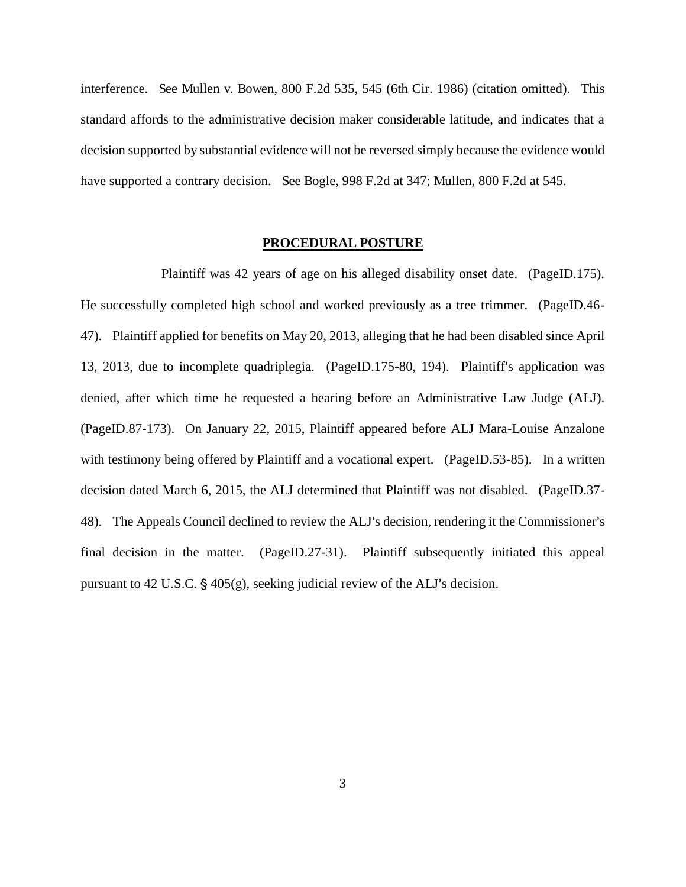interference. See Mullen v. Bowen, 800 F.2d 535, 545 (6th Cir. 1986) (citation omitted). This standard affords to the administrative decision maker considerable latitude, and indicates that a decision supported by substantial evidence will not be reversed simply because the evidence would have supported a contrary decision. See Bogle, 998 F.2d at 347; Mullen, 800 F.2d at 545.

### **PROCEDURAL POSTURE**

Plaintiff was 42 years of age on his alleged disability onset date. (PageID.175). He successfully completed high school and worked previously as a tree trimmer. (PageID.46- 47). Plaintiff applied for benefits on May 20, 2013, alleging that he had been disabled since April 13, 2013, due to incomplete quadriplegia. (PageID.175-80, 194). Plaintiff's application was denied, after which time he requested a hearing before an Administrative Law Judge (ALJ). (PageID.87-173). On January 22, 2015, Plaintiff appeared before ALJ Mara-Louise Anzalone with testimony being offered by Plaintiff and a vocational expert. (PageID.53-85). In a written decision dated March 6, 2015, the ALJ determined that Plaintiff was not disabled. (PageID.37- 48). The Appeals Council declined to review the ALJ's decision, rendering it the Commissioner's final decision in the matter. (PageID.27-31). Plaintiff subsequently initiated this appeal pursuant to 42 U.S.C.  $\S$  405(g), seeking judicial review of the ALJ's decision.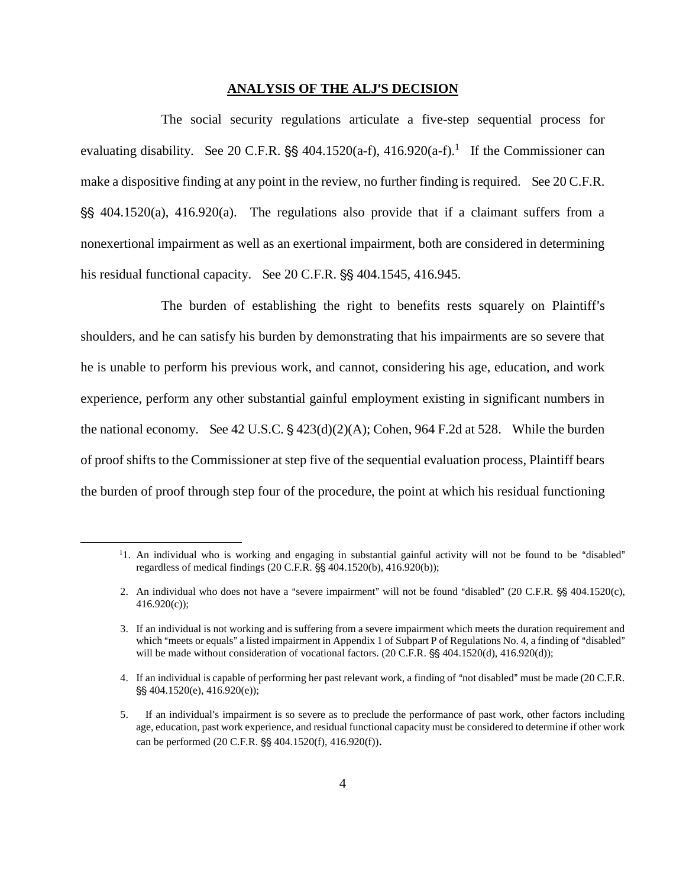#### **ANALYSIS OF THE ALJ**=**S DECISION**

The social security regulations articulate a five-step sequential process for evaluating disability. See 20 C.F.R.  $\S$  404.1520(a-f), 416.920(a-f).<sup>1</sup> If the Commissioner can make a dispositive finding at any point in the review, no further finding is required. See 20 C.F.R.  $\S$ \$ 404.1520(a), 416.920(a). The regulations also provide that if a claimant suffers from a nonexertional impairment as well as an exertional impairment, both are considered in determining his residual functional capacity. See  $20$  C.F.R.  $\S$  $\S$   $404.1545$ ,  $416.945$ .

The burden of establishing the right to benefits rests squarely on Plaintiff's shoulders, and he can satisfy his burden by demonstrating that his impairments are so severe that he is unable to perform his previous work, and cannot, considering his age, education, and work experience, perform any other substantial gainful employment existing in significant numbers in the national economy. See 42 U.S.C.  $\frac{2423(d)(2)(A)}{Cohen, 964 F.2d}$  at 528. While the burden of proof shifts to the Commissioner at step five of the sequential evaluation process, Plaintiff bears the burden of proof through step four of the procedure, the point at which his residual functioning

 $\overline{a}$ 

 $11.$  An individual who is working and engaging in substantial gainful activity will not be found to be "disabled" regardless of medical findings (20 C.F.R. §§ 404.1520(b), 416.920(b));

<sup>2.</sup> An individual who does not have a "severe impairment" will not be found "disabled" (20 C.F.R.  $\$  404.1520(c), 416.920(c));

<sup>3.</sup> If an individual is not working and is suffering from a severe impairment which meets the duration requirement and which "meets or equals" a listed impairment in Appendix 1 of Subpart P of Regulations No. 4, a finding of "disabled" will be made without consideration of vocational factors.  $(20 \text{ C.F.R.} \$ § 404.1520(d), 416.920(d));

<sup>4.</sup> If an individual is capable of performing her past relevant work, a finding of "not disabled" must be made (20 C.F.R.  $\S$ \$404.1520(e), 416.920(e));

<sup>5.</sup> If an individual's impairment is so severe as to preclude the performance of past work, other factors including age, education, past work experience, and residual functional capacity must be considered to determine if other work can be performed  $(20 \text{ C.F.R.}$  \$\$ 404.1520(f), 416.920(f)).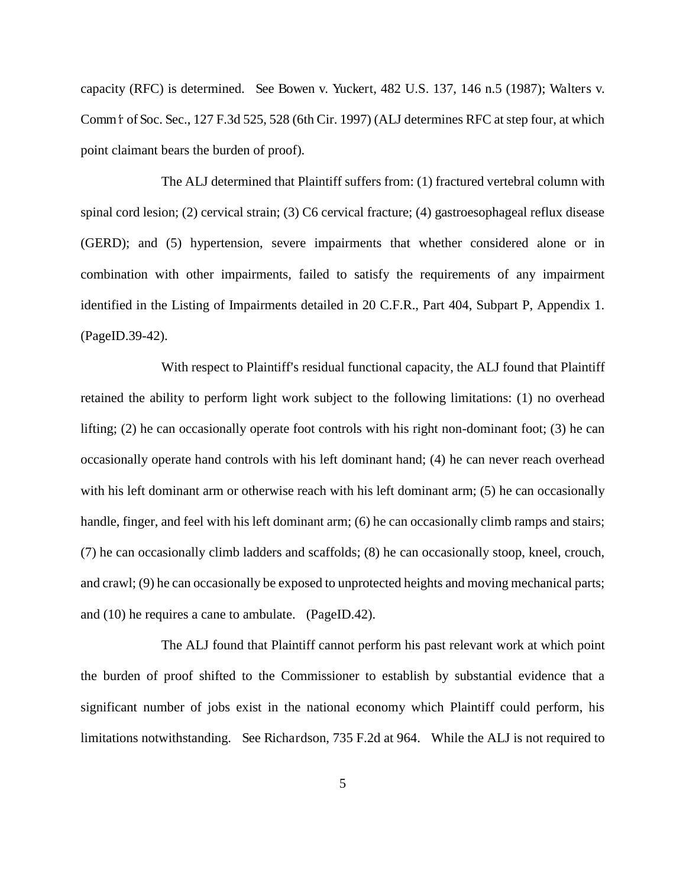capacity (RFC) is determined. See Bowen v. Yuckert, 482 U.S. 137, 146 n.5 (1987); Walters v. Comm f of Soc. Sec., 127 F.3d 525, 528 (6th Cir. 1997) (ALJ determines RFC at step four, at which point claimant bears the burden of proof).

The ALJ determined that Plaintiff suffers from: (1) fractured vertebral column with spinal cord lesion; (2) cervical strain; (3) C6 cervical fracture; (4) gastroesophageal reflux disease (GERD); and (5) hypertension, severe impairments that whether considered alone or in combination with other impairments, failed to satisfy the requirements of any impairment identified in the Listing of Impairments detailed in 20 C.F.R., Part 404, Subpart P, Appendix 1. (PageID.39-42).

With respect to Plaintiff's residual functional capacity, the ALJ found that Plaintiff retained the ability to perform light work subject to the following limitations: (1) no overhead lifting; (2) he can occasionally operate foot controls with his right non-dominant foot; (3) he can occasionally operate hand controls with his left dominant hand; (4) he can never reach overhead with his left dominant arm or otherwise reach with his left dominant arm; (5) he can occasionally handle, finger, and feel with his left dominant arm; (6) he can occasionally climb ramps and stairs; (7) he can occasionally climb ladders and scaffolds; (8) he can occasionally stoop, kneel, crouch, and crawl; (9) he can occasionally be exposed to unprotected heights and moving mechanical parts; and (10) he requires a cane to ambulate. (PageID.42).

The ALJ found that Plaintiff cannot perform his past relevant work at which point the burden of proof shifted to the Commissioner to establish by substantial evidence that a significant number of jobs exist in the national economy which Plaintiff could perform, his limitations notwithstanding. See Richardson, 735 F.2d at 964. While the ALJ is not required to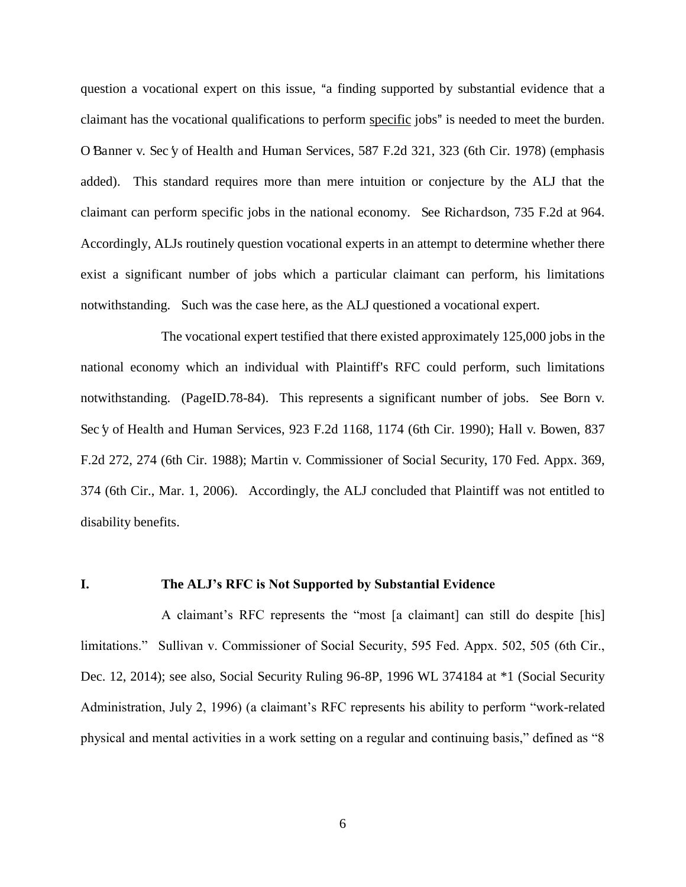question a vocational expert on this issue, "a finding supported by substantial evidence that a claimant has the vocational qualifications to perform specific jobs" is needed to meet the burden. O Banner v. Sec  $\gamma$  of Health and Human Services, 587 F.2d 321, 323 (6th Cir. 1978) (emphasis added). This standard requires more than mere intuition or conjecture by the ALJ that the claimant can perform specific jobs in the national economy. See Richardson, 735 F.2d at 964. Accordingly, ALJs routinely question vocational experts in an attempt to determine whether there exist a significant number of jobs which a particular claimant can perform, his limitations notwithstanding. Such was the case here, as the ALJ questioned a vocational expert.

The vocational expert testified that there existed approximately 125,000 jobs in the national economy which an individual with Plaintiff's RFC could perform, such limitations notwithstanding. (PageID.78-84). This represents a significant number of jobs. See Born v. Sec y of Health and Human Services, 923 F.2d 1168, 1174 (6th Cir. 1990); Hall v. Bowen, 837 F.2d 272, 274 (6th Cir. 1988); Martin v. Commissioner of Social Security, 170 Fed. Appx. 369, 374 (6th Cir., Mar. 1, 2006). Accordingly, the ALJ concluded that Plaintiff was not entitled to disability benefits.

#### **I. The ALJ's RFC is Not Supported by Substantial Evidence**

A claimant's RFC represents the "most [a claimant] can still do despite [his] limitations." Sullivan v. Commissioner of Social Security, 595 Fed. Appx. 502, 505 (6th Cir., Dec. 12, 2014); see also, Social Security Ruling 96-8P, 1996 WL 374184 at \*1 (Social Security Administration, July 2, 1996) (a claimant's RFC represents his ability to perform "work-related physical and mental activities in a work setting on a regular and continuing basis," defined as "8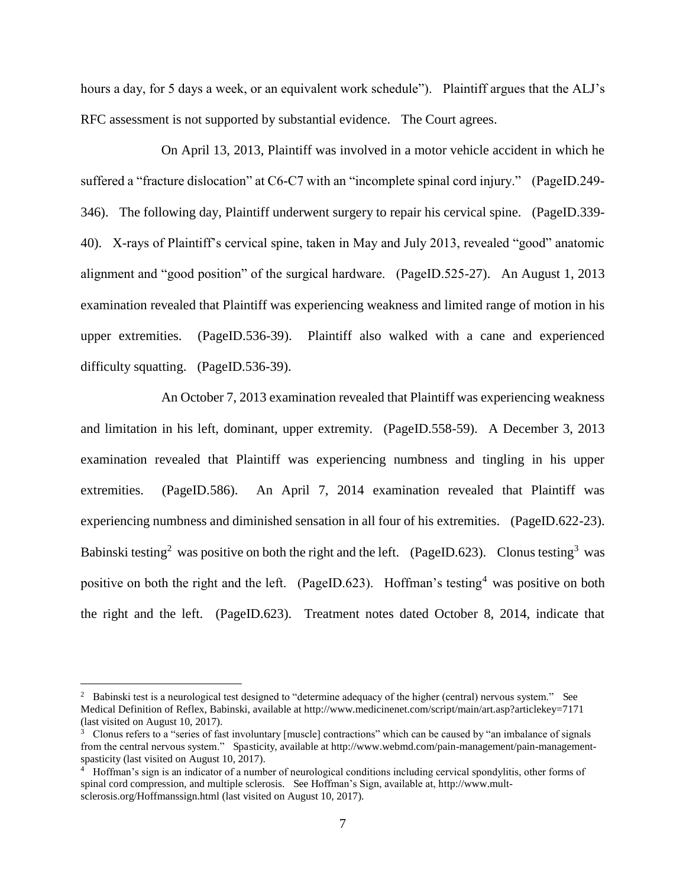hours a day, for 5 days a week, or an equivalent work schedule"). Plaintiff argues that the ALJ's RFC assessment is not supported by substantial evidence. The Court agrees.

On April 13, 2013, Plaintiff was involved in a motor vehicle accident in which he suffered a "fracture dislocation" at C6-C7 with an "incomplete spinal cord injury." (PageID.249- 346). The following day, Plaintiff underwent surgery to repair his cervical spine. (PageID.339- 40). X-rays of Plaintiff's cervical spine, taken in May and July 2013, revealed "good" anatomic alignment and "good position" of the surgical hardware. (PageID.525-27). An August 1, 2013 examination revealed that Plaintiff was experiencing weakness and limited range of motion in his upper extremities. (PageID.536-39). Plaintiff also walked with a cane and experienced difficulty squatting. (PageID.536-39).

An October 7, 2013 examination revealed that Plaintiff was experiencing weakness and limitation in his left, dominant, upper extremity. (PageID.558-59). A December 3, 2013 examination revealed that Plaintiff was experiencing numbness and tingling in his upper extremities. (PageID.586). An April 7, 2014 examination revealed that Plaintiff was experiencing numbness and diminished sensation in all four of his extremities. (PageID.622-23). Babinski testing<sup>2</sup> was positive on both the right and the left. (PageID.623). Clonus testing<sup>3</sup> was positive on both the right and the left. (PageID.623). Hoffman's testing<sup>4</sup> was positive on both the right and the left. (PageID.623). Treatment notes dated October 8, 2014, indicate that

 $\overline{a}$ 

<sup>&</sup>lt;sup>2</sup> Babinski test is a neurological test designed to "determine adequacy of the higher (central) nervous system." See Medical Definition of Reflex, Babinski, available at http://www.medicinenet.com/script/main/art.asp?articlekey=7171 (last visited on August 10, 2017).

<sup>3</sup> Clonus refers to a "series of fast involuntary [muscle] contractions" which can be caused by "an imbalance of signals from the central nervous system." Spasticity, available at http://www.webmd.com/pain-management/pain-managementspasticity (last visited on August 10, 2017).

<sup>4</sup> Hoffman's sign is an indicator of a number of neurological conditions including cervical spondylitis, other forms of spinal cord compression, and multiple sclerosis. See Hoffman's Sign, available at, http://www.multsclerosis.org/Hoffmanssign.html (last visited on August 10, 2017).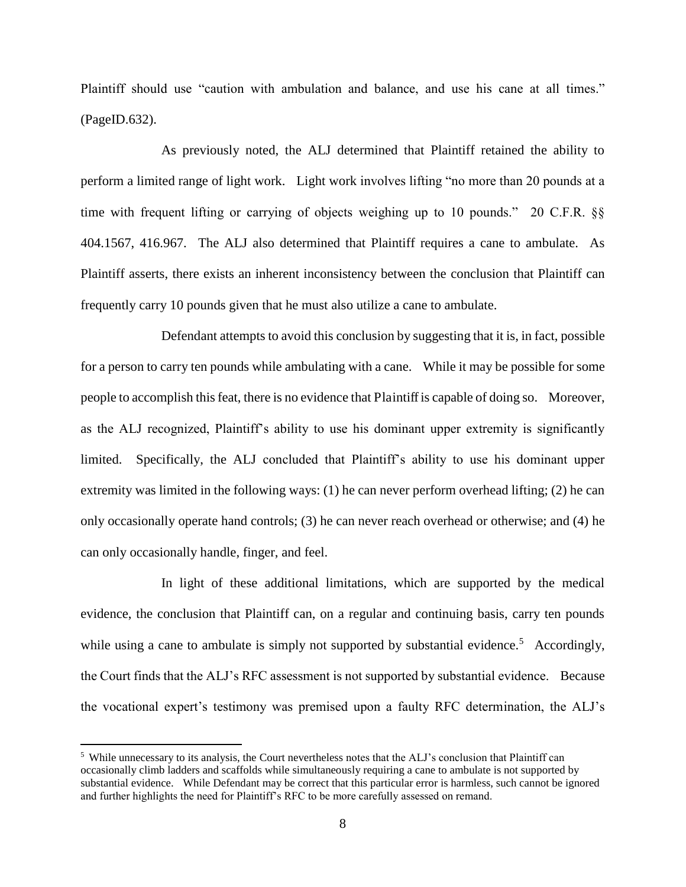Plaintiff should use "caution with ambulation and balance, and use his cane at all times." (PageID.632).

 As previously noted, the ALJ determined that Plaintiff retained the ability to perform a limited range of light work. Light work involves lifting "no more than 20 pounds at a time with frequent lifting or carrying of objects weighing up to 10 pounds." 20 C.F.R. §§ 404.1567, 416.967. The ALJ also determined that Plaintiff requires a cane to ambulate. As Plaintiff asserts, there exists an inherent inconsistency between the conclusion that Plaintiff can frequently carry 10 pounds given that he must also utilize a cane to ambulate.

 Defendant attempts to avoid this conclusion by suggesting that it is, in fact, possible for a person to carry ten pounds while ambulating with a cane. While it may be possible for some people to accomplish this feat, there is no evidence that Plaintiff is capable of doing so. Moreover, as the ALJ recognized, Plaintiff's ability to use his dominant upper extremity is significantly limited. Specifically, the ALJ concluded that Plaintiff's ability to use his dominant upper extremity was limited in the following ways: (1) he can never perform overhead lifting; (2) he can only occasionally operate hand controls; (3) he can never reach overhead or otherwise; and (4) he can only occasionally handle, finger, and feel.

 In light of these additional limitations, which are supported by the medical evidence, the conclusion that Plaintiff can, on a regular and continuing basis, carry ten pounds while using a cane to ambulate is simply not supported by substantial evidence.<sup>5</sup> Accordingly, the Court finds that the ALJ's RFC assessment is not supported by substantial evidence. Because the vocational expert's testimony was premised upon a faulty RFC determination, the ALJ's

 $\overline{a}$ 

<sup>&</sup>lt;sup>5</sup> While unnecessary to its analysis, the Court nevertheless notes that the ALJ's conclusion that Plaintiff can occasionally climb ladders and scaffolds while simultaneously requiring a cane to ambulate is not supported by substantial evidence. While Defendant may be correct that this particular error is harmless, such cannot be ignored and further highlights the need for Plaintiff's RFC to be more carefully assessed on remand.